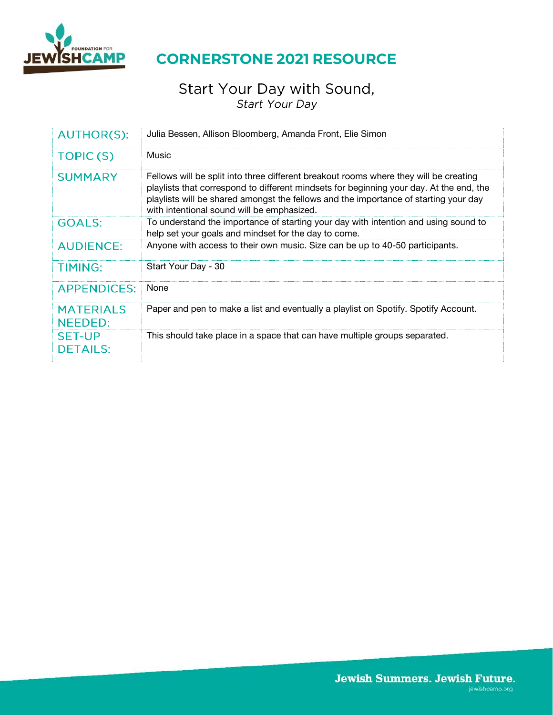

# **CORNERSTONE 2021 RESOURCE**

### Start Your Day with Sound, Start Your Day

| <b>AUTHOR(S):</b>                | Julia Bessen, Allison Bloomberg, Amanda Front, Elie Simon                                                                                                                                                                                                                                                              |
|----------------------------------|------------------------------------------------------------------------------------------------------------------------------------------------------------------------------------------------------------------------------------------------------------------------------------------------------------------------|
| TOPIC(S)                         | Music                                                                                                                                                                                                                                                                                                                  |
| <b>SUMMARY</b>                   | Fellows will be split into three different breakout rooms where they will be creating<br>playlists that correspond to different mindsets for beginning your day. At the end, the<br>playlists will be shared amongst the fellows and the importance of starting your day<br>with intentional sound will be emphasized. |
| <b>GOALS:</b>                    | To understand the importance of starting your day with intention and using sound to<br>help set your goals and mindset for the day to come.                                                                                                                                                                            |
| <b>AUDIENCE:</b>                 | Anyone with access to their own music. Size can be up to 40-50 participants.                                                                                                                                                                                                                                           |
| <b>TIMING:</b>                   | Start Your Day - 30                                                                                                                                                                                                                                                                                                    |
| <b>APPENDICES:</b>               | None                                                                                                                                                                                                                                                                                                                   |
| <b>MATERIALS</b><br>NEEDED:      | Paper and pen to make a list and eventually a playlist on Spotify. Spotify Account.                                                                                                                                                                                                                                    |
| <b>SET-UP</b><br><b>DETAILS:</b> | This should take place in a space that can have multiple groups separated.                                                                                                                                                                                                                                             |